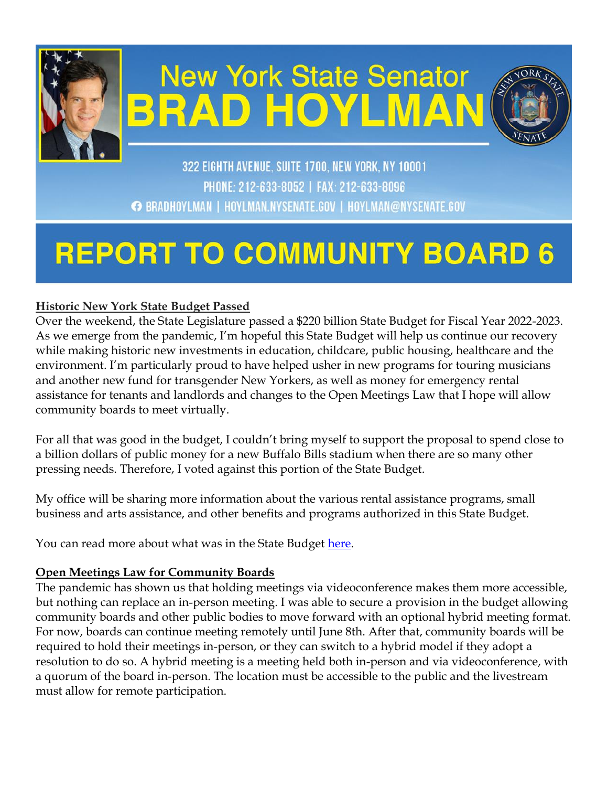

# **New York State Senator BRAD HOYLMA**



322 EIGHTH AVENUE, SUITE 1700, NEW YORK, NY 10001 PHONE: 212-633-8052 | FAX: 212-633-8096 ← BRADHOYLMAN | HOYLMAN.NYSENATE.GOV | HOYLMAN@NYSENATE.GOV

## **REPORT TO COMMUNITY BOARD**

## **Historic New York State Budget Passed**

Over the weekend, the State Legislature passed a \$220 billion State Budget for Fiscal Year 2022-2023. As we emerge from the pandemic, I'm hopeful this State Budget will help us continue our recovery while making historic new investments in education, childcare, public housing, healthcare and the environment. I'm particularly proud to have helped usher in new programs for touring musicians and another new fund for transgender New Yorkers, as well as money for emergency rental assistance for tenants and landlords and changes to the Open Meetings Law that I hope will allow community boards to meet virtually.

For all that was good in the budget, I couldn't bring myself to support the proposal to spend close to a billion dollars of public money for a new Buffalo Bills stadium when there are so many other pressing needs. Therefore, I voted against this portion of the State Budget.

My office will be sharing more information about the various rental assistance programs, small business and arts assistance, and other benefits and programs authorized in this State Budget.

You can read more about what was in the State Budget [here.](https://www.budget.ny.gov/pubs/archive/fy23/en/index.html)

## **Open Meetings Law for Community Boards**

The pandemic has shown us that holding meetings via videoconference makes them more accessible, but nothing can replace an in-person meeting. I was able to secure a provision in the budget allowing community boards and other public bodies to move forward with an optional hybrid meeting format. For now, boards can continue meeting remotely until June 8th. After that, community boards will be required to hold their meetings in-person, or they can switch to a hybrid model if they adopt a resolution to do so. A hybrid meeting is a meeting held both in-person and via videoconference, with a quorum of the board in-person. The location must be accessible to the public and the livestream must allow for remote participation.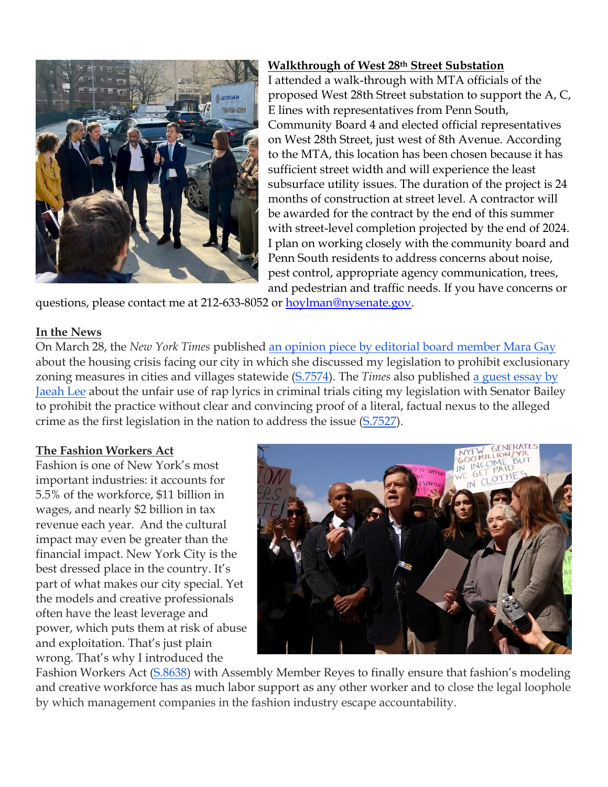

## **Walkthrough of West 28th Street Substation**

I attended a walk-through with MTA officials of the proposed West 28th Street substation to support the A, C, E lines with representatives from Penn South, Community Board 4 and elected official representatives on West 28th Street, just west of 8th Avenue. According to the MTA, this location has been chosen because it has sufficient street width and will experience the least subsurface utility issues. The duration of the project is 24 months of construction at street level. A contractor will be awarded for the contract by the end of this summer with street-level completion projected by the end of 2024. I plan on working closely with the community board and Penn South residents to address concerns about noise, pest control, appropriate agency communication, trees, and pedestrian and traffic needs. If you have concerns or

questions, please contact me at 212-633-8052 or [hoylman@nysenate.gov.](mailto:hoylman@nysenate.gov)

#### **In the News**

On March 28, the *New York Times* published [an opinion piece by editorial board member Mara Gay](http://email.sts.nysenate.gov/ls/click?upn=-2FUeB4rNcocRHNJExEbkIntS8OOJ7YXJAndBHiH7WTHldPpMMYt73F1R07fb7S6qhXH4u7NmlDieOUddS1lrkwtojwNhldaCB59GjbNN3ioSTaPXawviggbiWMRLLRMuLON28pSqFPygexvdE2rTKoA-3D-3D2gGO_Do4ubKWkamT4QWsbYAPv-2B6XmueuoegrufPJgcjha1K-2B4-2BRd9bCS22pJWGKPvsBMIUnLQ1o-2FUo-2Fy45wpmrfQGwzjDLjYpxMj4nq62-2FDD54D-2BaN4xZfQP6JSpDPSxLaaSVbuREMG7Jl8LpCvWTQTf3hmJOeJarVikws94NeojmhTf5ENlaL3BWfNUJoC42WbZCjOVbYbc1Nl7s7AzOlPh1WtodgO0G5qyhmVKEA-2BPv4EX1noMHawIn-2F7xV7oT3LFrjx6wrzulzYrvMer-2FgBzMvtArvoNmbwqc2evKS9kNSwZ-2BqJENtEEZn5NVfUlsTazWWKoqjx2678-2B80mKiKY5Ng-2FmbxEyUJq-2BsECoSMJJeb6NIHNHrRbimKUyDHhwtmz2jfP9TkidxDUHkyJ7PnVAEu8PJfM4Utr7-2FOrZ-2BRa9gftKaEl9CfTK8cWP-2FAfibgNF6OgM-2BO0s0QilHIaBK1NmgiajTNFKc6nLIIEdHPW6zhe-2FvUS-2FQ-2F-2BTmN4pDdC8gRHlX0) about the housing crisis facing our city in which she discussed my legislation to prohibit exclusionary zoning measures in cities and villages statewide [\(S.7574\)](http://email.sts.nysenate.gov/ls/click?upn=-2FUeB4rNcocRHNJExEbkInvOb6oWSUvRuIupYcYEYfVqnPJ-2F4H4UJOXF5TKOSzNccaZAsb4b08Ymc2Co-2BuN99fg-3D-3DEOkn_Do4ubKWkamT4QWsbYAPv-2B6XmueuoegrufPJgcjha1K-2B4-2BRd9bCS22pJWGKPvsBMIUnLQ1o-2FUo-2Fy45wpmrfQGwzjDLjYpxMj4nq62-2FDD54D-2BaN4xZfQP6JSpDPSxLaaSVbuREMG7Jl8LpCvWTQTf3hmJOeJarVikws94NeojmhTf5ENlaL3BWfNUJoC42WbZCjOVbYbc1Nl7s7AzOlPh1WtodgO0G5qyhmVKEA-2BPv4EX1noMHawIn-2F7xV7oT3LFrjx6wrzulzYrvMer-2FgBzMvtArvoNmbwqc2evKS9kNSwZ8huwuZq6T8IG-2BnGOrvksip3wO9myAeW9gQisHZya1bj0-2BK0MYiGXtsEU5-2BzSupgNTHqm-2FaZ80E0QsRMwZYPV5nqY83LO4NnaMAxsj2-2BfPQx29yTWFhxCsM4q2ikNwmoJBxQfsn-2BBQV-2FcBo1JheX19UYA6uFI0PM-2BLNBbd5aKDmZ9R-2F4IMLhtyd1pMb0xOb1Rs0TFKNXTWE-2Fn1r2jM1ERpP). The *Times* also published [a guest essay by](http://email.sts.nysenate.gov/ls/click?upn=-2FUeB4rNcocRHNJExEbkIntS8OOJ7YXJAndBHiH7WTHmrRsKcIP1QJm5z9LEXSZA0AHhETgJBEpPjqvYYP8kwHs18fghUm9OD-2Fqn5HHSG8rC5adG3eQQCt8-2FTQrGpDobkA5GS_Do4ubKWkamT4QWsbYAPv-2B6XmueuoegrufPJgcjha1K-2B4-2BRd9bCS22pJWGKPvsBMIUnLQ1o-2FUo-2Fy45wpmrfQGwzjDLjYpxMj4nq62-2FDD54D-2BaN4xZfQP6JSpDPSxLaaSVbuREMG7Jl8LpCvWTQTf3hmJOeJarVikws94NeojmhTf5ENlaL3BWfNUJoC42WbZCjOVbYbc1Nl7s7AzOlPh1WtodgO0G5qyhmVKEA-2BPv4EX1noMHawIn-2F7xV7oT3LFrjx6wrzulzYrvMer-2FgBzMvtArvoNmbwqc2evKS9kNSwZ-2FK9ntpFadPu5QjXg4045h2UJtqomlMiJWrKCi6KQDIcB4VnA91OsIVH0zWKecwoR5F-2FgTz5fykH-2B2HFy-2Ber8-2F98uFHMNHyfFCnEpnZOBQaIzhayaWVaRrXodH7Rlh15lIKr1tScI2ISj-2BnAv99AjFTq9MYPAQ7Ojn63nMcenw7hhAO6-2FHmfIVR5wsVge7hfscO5Ltc5mKX-2BOd9d-2BW7wrjw)  [Jaeah Lee](http://email.sts.nysenate.gov/ls/click?upn=-2FUeB4rNcocRHNJExEbkIntS8OOJ7YXJAndBHiH7WTHmrRsKcIP1QJm5z9LEXSZA0AHhETgJBEpPjqvYYP8kwHs18fghUm9OD-2Fqn5HHSG8rC5adG3eQQCt8-2FTQrGpDobkA5GS_Do4ubKWkamT4QWsbYAPv-2B6XmueuoegrufPJgcjha1K-2B4-2BRd9bCS22pJWGKPvsBMIUnLQ1o-2FUo-2Fy45wpmrfQGwzjDLjYpxMj4nq62-2FDD54D-2BaN4xZfQP6JSpDPSxLaaSVbuREMG7Jl8LpCvWTQTf3hmJOeJarVikws94NeojmhTf5ENlaL3BWfNUJoC42WbZCjOVbYbc1Nl7s7AzOlPh1WtodgO0G5qyhmVKEA-2BPv4EX1noMHawIn-2F7xV7oT3LFrjx6wrzulzYrvMer-2FgBzMvtArvoNmbwqc2evKS9kNSwZ-2FK9ntpFadPu5QjXg4045h2UJtqomlMiJWrKCi6KQDIcB4VnA91OsIVH0zWKecwoR5F-2FgTz5fykH-2B2HFy-2Ber8-2F98uFHMNHyfFCnEpnZOBQaIzhayaWVaRrXodH7Rlh15lIKr1tScI2ISj-2BnAv99AjFTq9MYPAQ7Ojn63nMcenw7hhAO6-2FHmfIVR5wsVge7hfscO5Ltc5mKX-2BOd9d-2BW7wrjw) about the unfair use of rap lyrics in criminal trials citing my legislation with Senator Bailey to prohibit the practice without clear and convincing proof of a literal, factual nexus to the alleged crime as the first legislation in the nation to address the issue [\(S.7527\)](http://email.sts.nysenate.gov/ls/click?upn=-2FUeB4rNcocRHNJExEbkInvOb6oWSUvRuIupYcYEYfVqnPJ-2F4H4UJOXF5TKOSzNccXRpNYt-2BL3TL-2BgUo042ydtw-3D-3D-B5C_Do4ubKWkamT4QWsbYAPv-2B6XmueuoegrufPJgcjha1K-2B4-2BRd9bCS22pJWGKPvsBMIUnLQ1o-2FUo-2Fy45wpmrfQGwzjDLjYpxMj4nq62-2FDD54D-2BaN4xZfQP6JSpDPSxLaaSVbuREMG7Jl8LpCvWTQTf3hmJOeJarVikws94NeojmhTf5ENlaL3BWfNUJoC42WbZCjOVbYbc1Nl7s7AzOlPh1WtodgO0G5qyhmVKEA-2BPv4EX1noMHawIn-2F7xV7oT3LFrjx6wrzulzYrvMer-2FgBzMvtArvoNmbwqc2evKS9kNSwZ-2FcRYxq3YktEqg73o-2FheTCVbjDHex0hzWXSD9KJa3PVDvtCwXghTXqrGoz6Y48sQzLg9sDUIzQxR4NxGn8itCvsDOVKpeAqSHqkrBKvWtb4N9qfL5nYNIkKH3e7Ee8BXihQGFs-2BDsxEtOATQy8P8U6aTNITHCTaNeot-2FEyI2ahC4B9-2BucXGYFGdyHVcswezErF68RRkDbH93jBDsmJmQpl4).

## **The Fashion Workers Act**

Fashion is one of New York's most important industries: it accounts for 5.5% of the workforce, \$11 billion in wages, and nearly \$2 billion in tax revenue each year. And the cultural impact may even be greater than the financial impact. New York City is the best dressed place in the country. It's part of what makes our city special. Yet the models and creative professionals often have the least leverage and power, which puts them at risk of abuse and exploitation. That's just plain wrong. That's why I introduced the



Fashion Workers Act [\(S.8638](http://email.sts.nysenate.gov/ls/click?upn=-2FUeB4rNcocRHNJExEbkInvOb6oWSUvRuIupYcYEYfVqnPJ-2F4H4UJOXF5TKOSzNcc-2F6wtydlnaM-2Bz8oFyaTXaiw-3D-3DquUs_Do4ubKWkamT4QWsbYAPv-2B6XmueuoegrufPJgcjha1K-2B4-2BRd9bCS22pJWGKPvsBMIUnLQ1o-2FUo-2Fy45wpmrfQGwzjDLjYpxMj4nq62-2FDD54D-2BaN4xZfQP6JSpDPSxLaaSVbuREMG7Jl8LpCvWTQTf3hgghWU-2F70SFol8OHhYfGI73HR9jz0l0PmqGW16R6vyWz8RfkzInSsNtkXMJsrg99TL5MkI4ahu4T5uyIx-2BNduhk5lZBtqQYcqAwIQQdfWfvO5Jq6SwMjqZPjgMvQUMgyuIVOINcaGc-2BNZji-2FekUbgRdXX-2BLlEvKudKOX3-2BcWDw8pCcGjWct2Vbm6ftjHow2HpJ2z2uffntkySnhXyoykR6noLx54ceLLdz93ajtWRC-2BOvsL8-2BzDoVbJmG8kOpGcJiMGCPHJZLoO65k9TZ8xw5JrCbs9n5AL-2FID6uHp9P1b6ctpZys9hn9R11gYsT6ucx8cnlbH9n3Nj6zbcqp5j4hP8RCY6BI-2FlPd-2BYTRV-2FbUzxM)) with Assembly Member Reyes to finally ensure that fashion's modeling and creative workforce has as much labor support as any other worker and to close the legal loophole by which management companies in the fashion industry escape accountability.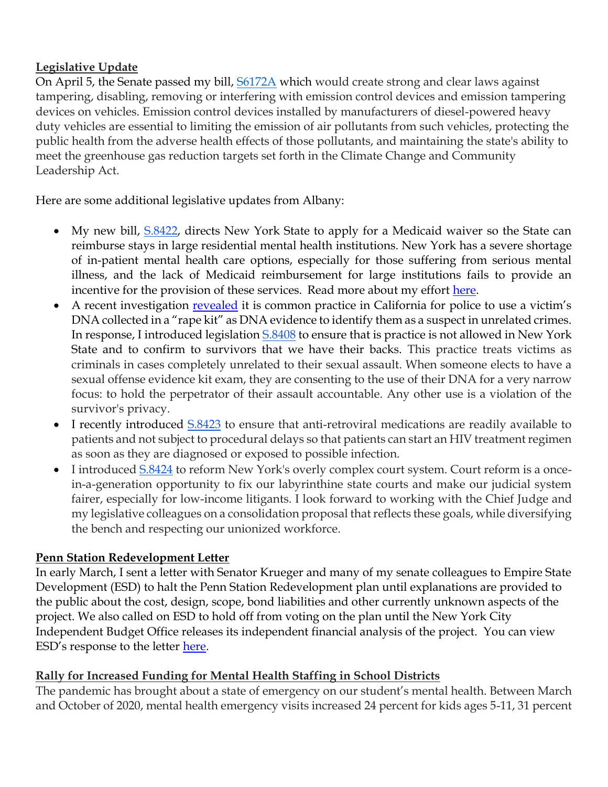## **Legislative Update**

On April 5, the Senate passed my bill, [S6172A](https://www.nysenate.gov/legislation/bills/2021/S6172) which would create strong and clear laws against tampering, disabling, removing or interfering with emission control devices and emission tampering devices on vehicles. Emission control devices installed by manufacturers of diesel-powered heavy duty vehicles are essential to limiting the emission of air pollutants from such vehicles, protecting the public health from the adverse health effects of those pollutants, and maintaining the state's ability to meet the greenhouse gas reduction targets set forth in the Climate Change and Community Leadership Act.

Here are some additional legislative updates from Albany:

- My new bill, [S.8422,](https://www.nysenate.gov/legislation/bills/2021/s8422) directs New York State to apply for a Medicaid waiver so the State can reimburse stays in large residential mental health institutions. New York has a severe shortage of in-patient mental health care options, especially for those suffering from serious mental illness, and the lack of Medicaid reimbursement for large institutions fails to provide an incentive for the provision of these services. Read more about my effort [here.](https://www.thecity.nyc/2022/3/10/22972011/medicaid-psychiatric-hospitals-new-york)
- A recent investigation [revealed](https://www.nytimes.com/2022/02/15/us/san-francisco-police-rape-kit-dna.html) it is common practice in California for police to use a victim's DNA collected in a "rape kit" as DNA evidence to identify them as a suspect in unrelated crimes. In response, I introduced legislation [S.8408](https://www.nysenate.gov/legislation/bills/2021/S8408) to ensure that is practice is not allowed in New York State and to confirm to survivors that we have their backs. This practice treats victims as criminals in cases completely unrelated to their sexual assault. When someone elects to have a sexual offense evidence kit exam, they are consenting to the use of their DNA for a very narrow focus: to hold the perpetrator of their assault accountable. Any other use is a violation of the survivor's privacy.
- I recently introduced  $S.8423$  to ensure that anti-retroviral medications are readily available to patients and not subject to procedural delays so that patients can start an HIV treatment regimen as soon as they are diagnosed or exposed to possible infection.
- I introduced  $\underline{S.8424}$  to reform New York's overly complex court system. Court reform is a oncein-a-generation opportunity to fix our labyrinthine state courts and make our judicial system fairer, especially for low-income litigants. I look forward to working with the Chief Judge and my legislative colleagues on a consolidation proposal that reflects these goals, while diversifying the bench and respecting our unionized workforce.

## **Penn Station Redevelopment Letter**

In early March, I sent a letter with Senator Krueger and many of my senate colleagues to Empire State Development (ESD) to halt the Penn Station Redevelopment plan until explanations are provided to the public about the cost, design, scope, bond liabilities and other currently unknown aspects of the project. We also called on ESD to hold off from voting on the plan until the New York City Independent Budget Office releases its independent financial analysis of the project. You can view ESD's response to the letter [here.](https://drive.google.com/file/d/1DQRZDNoYj0_erpeNaJESKTnEIw-2UWJH/view?usp=sharing)

## **Rally for Increased Funding for Mental Health Staffing in School Districts**

The pandemic has brought about a state of emergency on our student's mental health. Between March and October of 2020, mental health emergency visits increased 24 percent for kids ages 5-11, 31 percent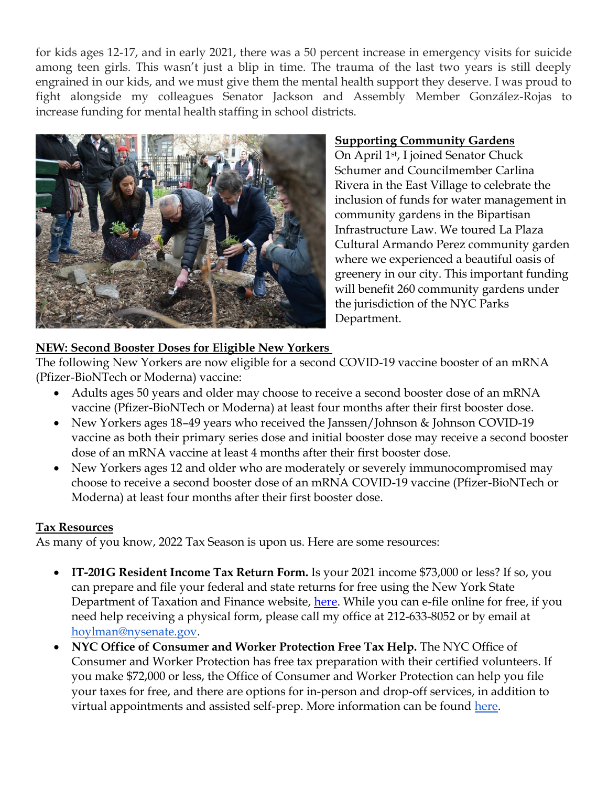for kids ages 12-17, and in early 2021, there was a 50 percent increase in emergency visits for suicide among teen girls. This wasn't just a blip in time. The trauma of the last two years is still deeply engrained in our kids, and we must give them the mental health support they deserve. I was proud to fight alongside my colleagues Senator Jackson and Assembly Member González-Rojas to increase funding for mental health staffing in school districts.



## **Supporting Community Gardens**

On April 1st , I joined Senator Chuck Schumer and Councilmember Carlina Rivera in the East Village to celebrate the inclusion of funds for water management in community gardens in the Bipartisan Infrastructure Law. We toured La Plaza Cultural Armando Perez community garden where we experienced a beautiful oasis of greenery in our city. This important funding will benefit 260 community gardens under the jurisdiction of the NYC Parks Department.

## **NEW: Second Booster Doses for Eligible New Yorkers**

The following New Yorkers are now eligible for a second COVID-19 vaccine booster of an mRNA (Pfizer-BioNTech or Moderna) vaccine:

- Adults ages 50 years and older may choose to receive a second booster dose of an mRNA vaccine (Pfizer-BioNTech or Moderna) at least four months after their first booster dose.
- New Yorkers ages 18-49 years who received the Janssen/Johnson & Johnson COVID-19 vaccine as both their primary series dose and initial booster dose may receive a second booster dose of an mRNA vaccine at least 4 months after their first booster dose.
- New Yorkers ages 12 and older who are moderately or severely immunocompromised may choose to receive a second booster dose of an mRNA COVID-19 vaccine (Pfizer-BioNTech or Moderna) at least four months after their first booster dose.

## **Tax Resources**

As many of you know, 2022 Tax Season is upon us. Here are some resources:

- **IT-201G Resident Income Tax Return Form.** Is your 2021 income \$73,000 or less? If so, you can prepare and file your federal and state returns for free using the New York State Department of Taxation and Finance website, [here.](https://www.tax.ny.gov/pit/ads/efile_addit201.htm) While you can e-file online for free, if you need help receiving a physical form, please call my office at 212-633-8052 or by email at [hoylman@nysenate.gov.](mailto:hoylman@nysenate.gov)
- **NYC Office of Consumer and Worker Protection Free Tax Help.** The NYC Office of Consumer and Worker Protection has free tax preparation with their certified volunteers. If you make \$72,000 or less, the Office of Consumer and Worker Protection can help you file your taxes for free, and there are options for in-person and drop-off services, in addition to virtual appointments and assisted self-prep. More information can be found [here.](https://www1.nyc.gov/site/dca/consumers/file-your-taxes.page)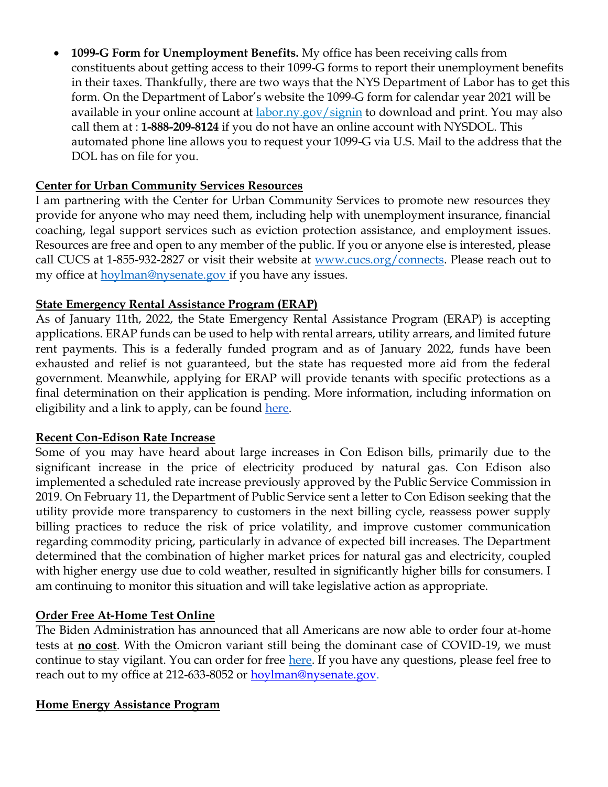• **1099-G Form for Unemployment Benefits.** My office has been receiving calls from constituents about getting access to their 1099-G forms to report their unemployment benefits in their taxes. Thankfully, there are two ways that the NYS Department of Labor has to get this form. On the Department of Labor's website the 1099-G form for calendar year 2021 will be available in your online account at [labor.ny.gov/signin](https://applications.labor.ny.gov/IndividualReg/) to download and print. You may also call them at : **1-888-209-8124** if you do not have an online account with NYSDOL. This automated phone line allows you to request your 1099-G via U.S. Mail to the address that the DOL has on file for you.

## **Center for Urban Community Services Resources**

I am partnering with the Center for Urban Community Services to promote new resources they provide for anyone who may need them, including help with unemployment insurance, financial coaching, legal support services such as eviction protection assistance, and employment issues. Resources are free and open to any member of the public. If you or anyone else is interested, please call CUCS at 1-855-932-2827 or visit their website at www.cucs.org/connects. Please reach out to my office at hoylman@nysenate.gov if you have any issues.

#### **State Emergency Rental Assistance Program (ERAP)**

As of January 11th, 2022, the State Emergency Rental Assistance Program (ERAP) is accepting applications. ERAP funds can be used to help with rental arrears, utility arrears, and limited future rent payments. This is a federally funded program and as of January 2022, funds have been exhausted and relief is not guaranteed, but the state has requested more aid from the federal government. Meanwhile, applying for ERAP will provide tenants with specific protections as a final determination on their application is pending. More information, including information on eligibility and a link to apply, can be found here.

#### **Recent Con-Edison Rate Increase**

Some of you may have heard about large increases in Con Edison bills, primarily due to the significant increase in the price of electricity produced by natural gas. Con Edison also implemented a scheduled rate increase previously approved by the Public Service Commission in 2019. On February 11, the Department of Public Service sent a letter to Con Edison seeking that the utility provide more transparency to customers in the next billing cycle, reassess power supply billing practices to reduce the risk of price volatility, and improve customer communication regarding commodity pricing, particularly in advance of expected bill increases. The Department determined that the combination of higher market prices for natural gas and electricity, coupled with higher energy use due to cold weather, resulted in significantly higher bills for consumers. I am continuing to monitor this situation and will take legislative action as appropriate.

## **Order Free At-Home Test Online**

The Biden Administration has announced that all Americans are now able to order four at-home tests at **no cost**. With the Omicron variant still being the dominant case of COVID-19, we must continue to stay vigilant. You can order for free here. If you have any questions, please feel free to reach out to my office at 212-633-8052 or [hoylman@nysenate.gov.](mailto:hoylman@nysenate.gov)

#### **Home Energy Assistance Program**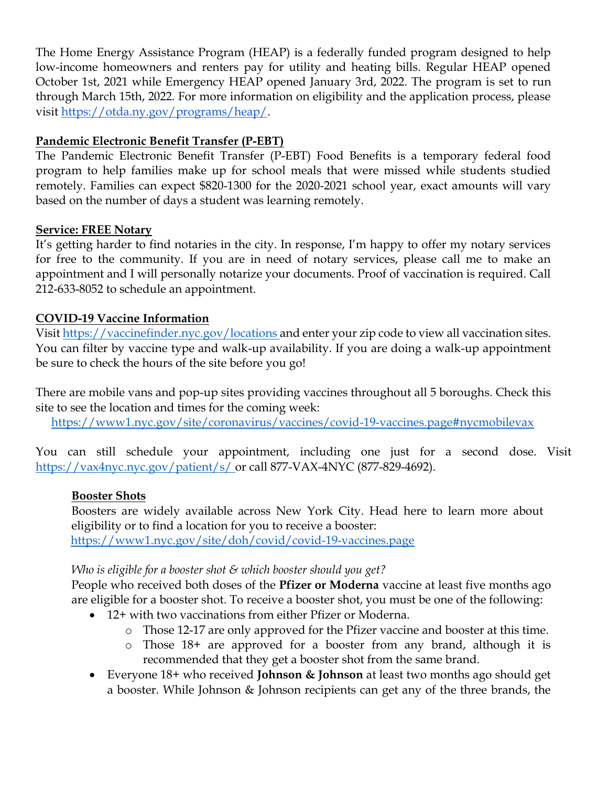The Home Energy Assistance Program (HEAP) is a federally funded program designed to help low-income homeowners and renters pay for utility and heating bills. Regular HEAP opened October 1st, 2021 while Emergency HEAP opened January 3rd, 2022. The program is set to run through March 15th, 2022. For more information on eligibility and the application process, please visit https://otda.ny.gov/programs/heap/.

## **Pandemic Electronic Benefit Transfer (P-EBT)**

The Pandemic Electronic Benefit Transfer (P-EBT) Food Benefits is a temporary federal food program to help families make up for school meals that were missed while students studied remotely. Families can expect \$820-1300 for the 2020-2021 school year, exact amounts will vary based on the number of days a student was learning remotely.

#### **Service: FREE Notary**

It's getting harder to find notaries in the city. In response, I'm happy to offer my notary services for free to the community. If you are in need of notary services, please call me to make an appointment and I will personally notarize your documents. Proof of vaccination is required. Call 212-633-8052 to schedule an appointment.

## **COVID-19 Vaccine Information**

Visit https://vaccinefinder.nyc.gov/locations and enter your zip code to view all vaccination sites. You can filter by vaccine type and walk-up availability. If you are doing a walk-up appointment be sure to check the hours of the site before you go!

There are mobile vans and pop-up sites providing vaccines throughout all 5 boroughs. Check this site to see the location and times for the coming week: https://www1.nyc.gov/site/coronavirus/vaccines/covid-19-vaccines.page#nycmobilevax

You can still schedule your appointment, including one just for a second dose. Visit https://vax4nyc.nyc.gov/patient/s/ or call 877-VAX-4NYC (877-829-4692).

## **Booster Shots**

Boosters are widely available across New York City. Head here to learn more about eligibility or to find a location for you to receive a booster: https://www1.nyc.gov/site/doh/covid/covid-19-vaccines.page

## *Who is eligible for a booster shot & which booster should you get?*

People who received both doses of the **Pfizer or Moderna** vaccine at least five months ago are eligible for a booster shot. To receive a booster shot, you must be one of the following:

- 12+ with two vaccinations from either Pfizer or Moderna.
	- o Those 12-17 are only approved for the Pfizer vaccine and booster at this time.
	- o Those 18+ are approved for a booster from any brand, although it is recommended that they get a booster shot from the same brand.
- Everyone 18+ who received **Johnson & Johnson** at least two months ago should get a booster. While Johnson & Johnson recipients can get any of the three brands, the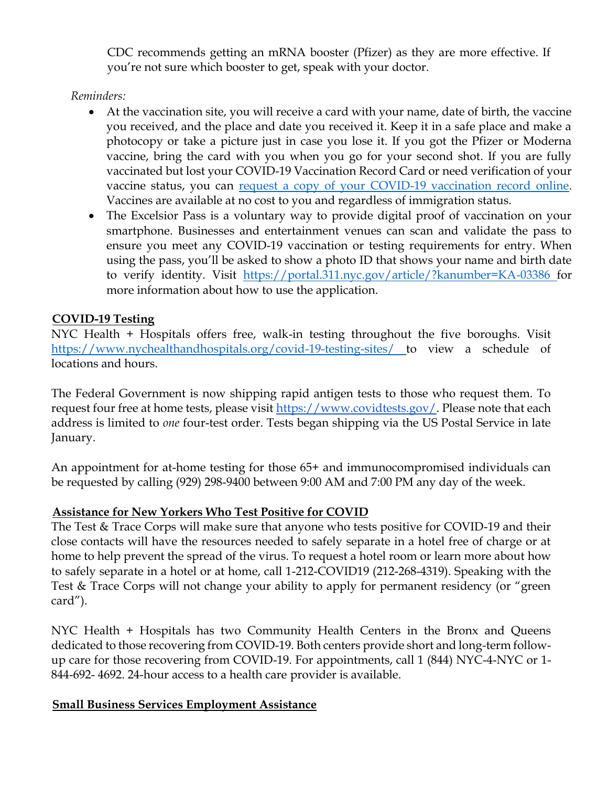CDC recommends getting an mRNA booster (Pfizer) as they are more effective. If you're not sure which booster to get, speak with your doctor.

*Reminders:*

- At the vaccination site, you will receive a card with your name, date of birth, the vaccine you received, and the place and date you received it. Keep it in a safe place and make a photocopy or take a picture just in case you lose it. If you got the Pfizer or Moderna vaccine, bring the card with you when you go for your second shot. If you are fully vaccinated but lost your COVID-19 Vaccination Record Card or need verification of your vaccine status, you can request a copy of your COVID-19 vaccination record online. Vaccines are available at no cost to you and regardless of immigration status.
- The Excelsior Pass is a voluntary way to provide digital proof of vaccination on your smartphone. Businesses and entertainment venues can scan and validate the pass to ensure you meet any COVID-19 vaccination or testing requirements for entry. When using the pass, you'll be asked to show a photo ID that shows your name and birth date to verify identity. Visit https://portal.311.nyc.gov/article/?kanumber=KA-03386 for more information about how to use the application.

## **COVID-19 Testing**

NYC Health + Hospitals offers free, walk-in testing throughout the five boroughs. Visit https://www.nychealthandhospitals.org/covid-19-testing-sites/ to view a schedule of locations and hours.

The Federal Government is now shipping rapid antigen tests to those who request them. To request four free at home tests, please visit https://www.covidtests.gov/. Please note that each address is limited to *one* four-test order. Tests began shipping via the US Postal Service in late January.

An appointment for at-home testing for those 65+ and immunocompromised individuals can be requested by calling (929) 298-9400 between 9:00 AM and 7:00 PM any day of the week.

## **Assistance for New Yorkers Who Test Positive for COVID**

The Test & Trace Corps will make sure that anyone who tests positive for COVID-19 and their close contacts will have the resources needed to safely separate in a hotel free of charge or at home to help prevent the spread of the virus. To request a hotel room or learn more about how to safely separate in a hotel or at home, call 1-212-COVID19 (212-268-4319). Speaking with the Test & Trace Corps will not change your ability to apply for permanent residency (or "green card").

NYC Health + Hospitals has two Community Health Centers in the Bronx and Queens dedicated to those recovering from COVID-19. Both centers provide short and long-term followup care for those recovering from COVID-19. For appointments, call 1 (844) NYC-4-NYC or 1- 844-692- 4692. 24-hour access to a health care provider is available.

## **Small Business Services Employment Assistance**